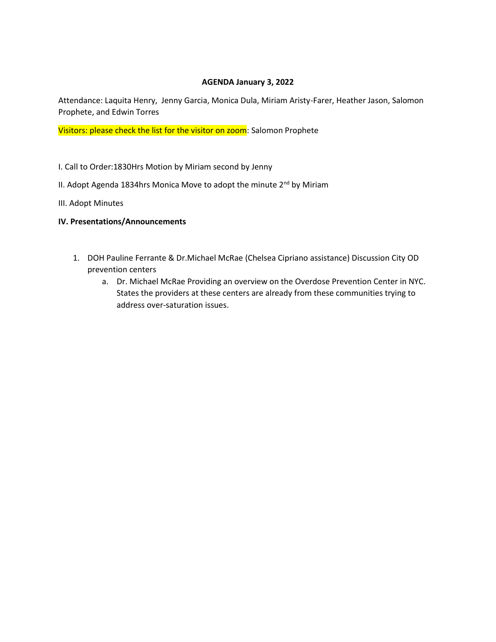### **AGENDA January 3, 2022**

Attendance: Laquita Henry, Jenny Garcia, Monica Dula, Miriam Aristy-Farer, Heather Jason, Salomon Prophete, and Edwin Torres

Visitors: please check the list for the visitor on zoom: Salomon Prophete

- I. Call to Order:1830Hrs Motion by Miriam second by Jenny
- II. Adopt Agenda 1834hrs Monica Move to adopt the minute  $2^{nd}$  by Miriam
- III. Adopt Minutes

#### **IV. Presentations/Announcements**

- 1. DOH Pauline Ferrante & Dr.Michael McRae (Chelsea Cipriano assistance) Discussion City OD prevention centers
	- a. Dr. Michael McRae Providing an overview on the Overdose Prevention Center in NYC. States the providers at these centers are already from these communities trying to address over-saturation issues.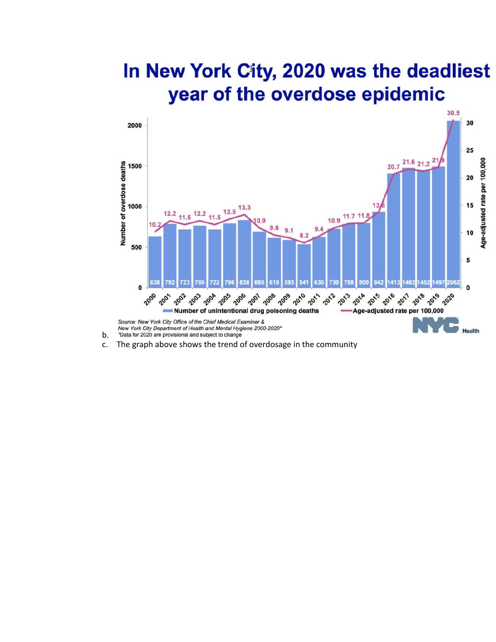## In New York City, 2020 was the deadliest year of the overdose epidemic



- \*Data for 2020 are provisional and subject to change b.
- c. The graph above shows the trend of overdosage in the community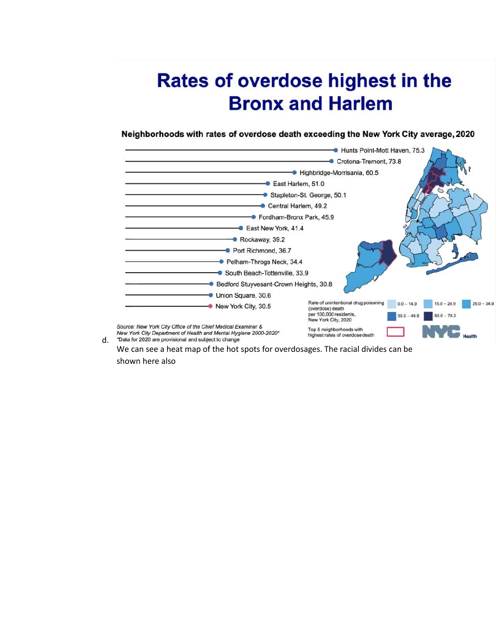# Rates of overdose highest in the **Bronx and Harlem**

Neighborhoods with rates of overdose death exceeding the New York City average, 2020



We can see a heat map of the hot spots for overdosages. The racial divides can be shown here also

d.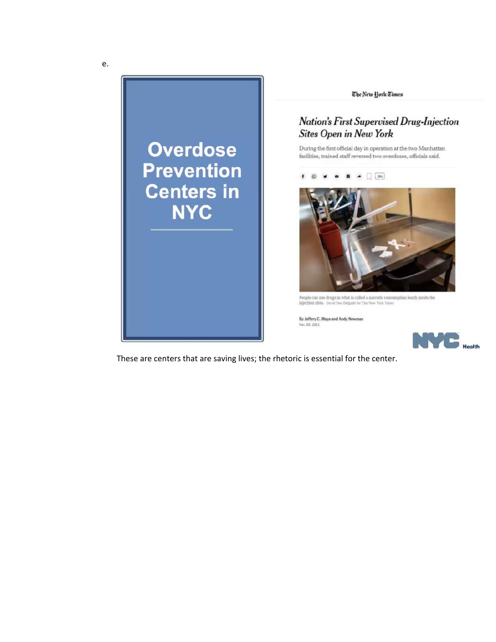

These are centers that are saving lives; the rhetoric is essential for the center.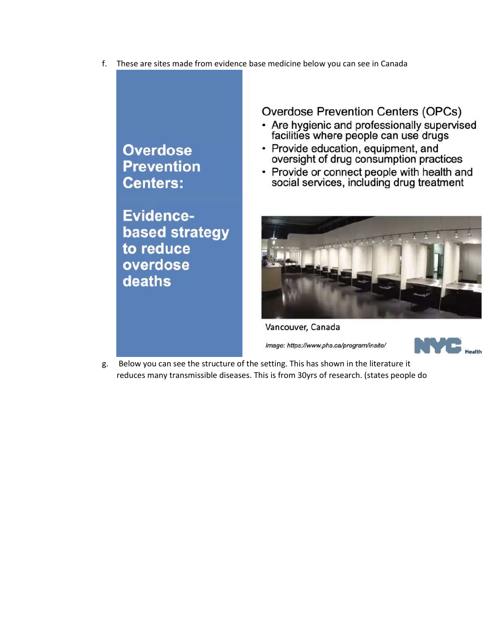f. These are sites made from evidence base medicine below you can see in Canada

## **Overdose Prevention Centers:**

Evidencebased strategy to reduce overdose deaths

Overdose Prevention Centers (OPCs)

- Are hygienic and professionally supervised facilities where people can use drugs
- Provide education, equipment, and oversight of drug consumption practices
- Provide or connect people with health and social services, including drug treatment



Vancouver, Canada

Image: https://www.phs.ca/program/insite/



Below you can see the structure of the setting. This has shown in the literature it g. reduces many transmissible diseases. This is from 30yrs of research. (states people do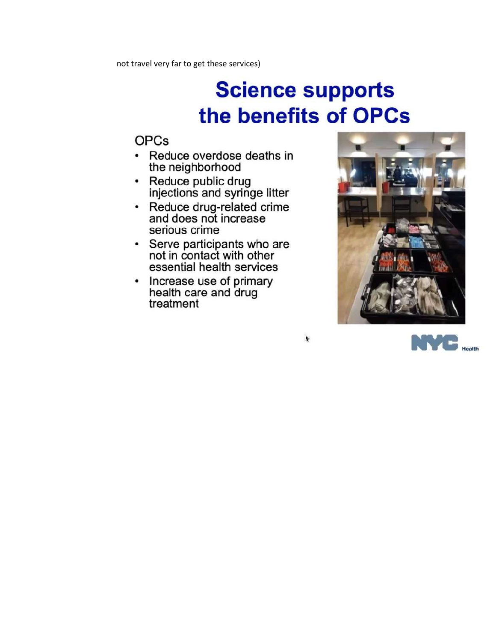# **Science supports** the benefits of OPCs

 $\pmb{\cdot}$ 

### **OPCs**

- Reduce overdose deaths in the neighborhood
- Reduce public drug injections and syringe litter
- Reduce drug-related crime and does not increase serious crime
- Serve participants who are not in contact with other essential health services
- Increase use of primary<br>health care and drug treatment



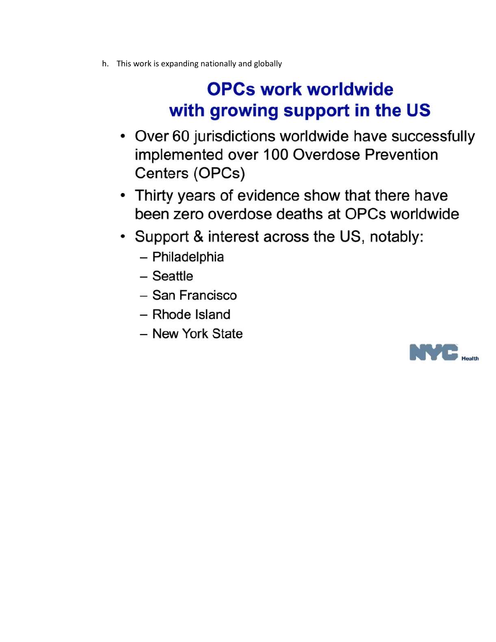h. This work is expanding nationally and globally

# **OPCs work worldwide** with growing support in the US

- Over 60 jurisdictions worldwide have successfully implemented over 100 Overdose Prevention Centers (OPCs)
- Thirty years of evidence show that there have been zero overdose deaths at OPCs worldwide
- Support & interest across the US, notably:
	- Philadelphia
	- Seattle
	- San Francisco
	- Rhode Island
	- New York State

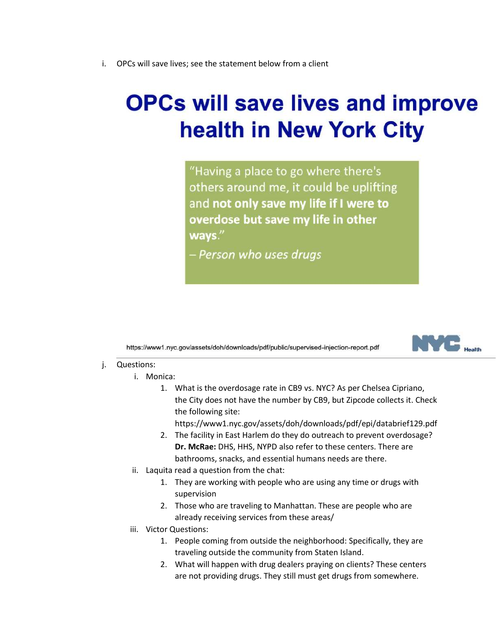i. OPCs will save lives; see the statement below from a client

# **OPCs will save lives and improve health in New York City**

"Having a place to go where there's others around me, it could be uplifting and not only save my life if I were to overdose but save my life in other ways."

– Person who uses drugs

https://www1.nyc.gov/assets/doh/downloads/pdf/public/supervised-injection-report.pdf



- j. Questions:
	- i. Monica:
		- 1. What is the overdosage rate in CB9 vs. NYC? As per Chelsea Cipriano, the City does not have the number by CB9, but Zipcode collects it. Check the following site:

https://www1.nyc.gov/assets/doh/downloads/pdf/epi/databrief129.pdf

- 2. The facility in East Harlem do they do outreach to prevent overdosage? **Dr. McRae:** DHS, HHS, NYPD also refer to these centers. There are bathrooms, snacks, and essential humans needs are there.
- ii. Laquita read a question from the chat:
	- 1. They are working with people who are using any time or drugs with supervision
	- 2. Those who are traveling to Manhattan. These are people who are already receiving services from these areas/
- iii. Victor Questions:
	- 1. People coming from outside the neighborhood: Specifically, they are traveling outside the community from Staten Island.
	- 2. What will happen with drug dealers praying on clients? These centers are not providing drugs. They still must get drugs from somewhere.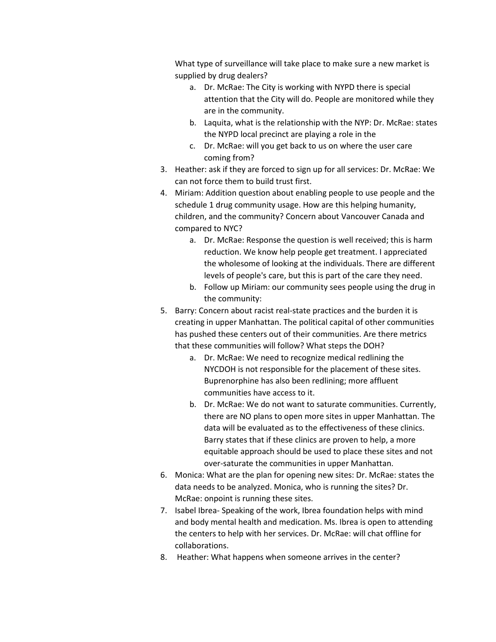What type of surveillance will take place to make sure a new market is supplied by drug dealers?

- a. Dr. McRae: The City is working with NYPD there is special attention that the City will do. People are monitored while they are in the community.
- b. Laquita, what is the relationship with the NYP: Dr. McRae: states the NYPD local precinct are playing a role in the
- c. Dr. McRae: will you get back to us on where the user care coming from?
- 3. Heather: ask if they are forced to sign up for all services: Dr. McRae: We can not force them to build trust first.
- 4. Miriam: Addition question about enabling people to use people and the schedule 1 drug community usage. How are this helping humanity, children, and the community? Concern about Vancouver Canada and compared to NYC?
	- a. Dr. McRae: Response the question is well received; this is harm reduction. We know help people get treatment. I appreciated the wholesome of looking at the individuals. There are different levels of people's care, but this is part of the care they need.
	- b. Follow up Miriam: our community sees people using the drug in the community:
- 5. Barry: Concern about racist real-state practices and the burden it is creating in upper Manhattan. The political capital of other communities has pushed these centers out of their communities. Are there metrics that these communities will follow? What steps the DOH?
	- a. Dr. McRae: We need to recognize medical redlining the NYCDOH is not responsible for the placement of these sites. Buprenorphine has also been redlining; more affluent communities have access to it.
	- b. Dr. McRae: We do not want to saturate communities. Currently, there are NO plans to open more sites in upper Manhattan. The data will be evaluated as to the effectiveness of these clinics. Barry states that if these clinics are proven to help, a more equitable approach should be used to place these sites and not over-saturate the communities in upper Manhattan.
- 6. Monica: What are the plan for opening new sites: Dr. McRae: states the data needs to be analyzed. Monica, who is running the sites? Dr. McRae: onpoint is running these sites.
- 7. Isabel Ibrea- Speaking of the work, Ibrea foundation helps with mind and body mental health and medication. Ms. Ibrea is open to attending the centers to help with her services. Dr. McRae: will chat offline for collaborations.
- 8. Heather: What happens when someone arrives in the center?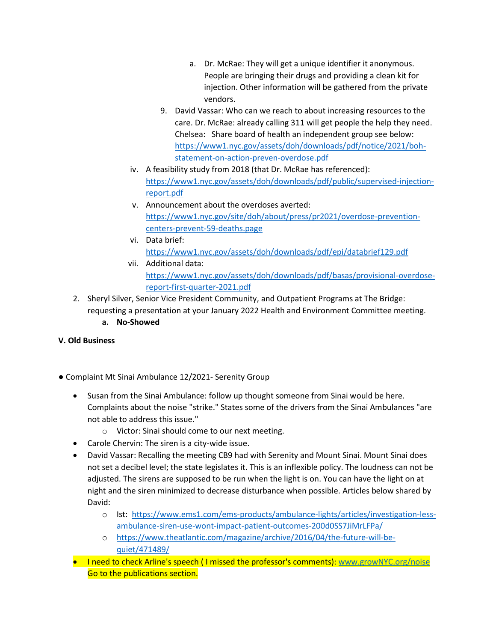- a. Dr. McRae: They will get a unique identifier it anonymous. People are bringing their drugs and providing a clean kit for injection. Other information will be gathered from the private vendors.
- 9. David Vassar: Who can we reach to about increasing resources to the care. Dr. McRae: already calling 311 will get people the help they need. Chelsea: Share board of health an independent group see below: [https://www1.nyc.gov/assets/doh/downloads/pdf/notice/2021/boh](https://www1.nyc.gov/assets/doh/downloads/pdf/notice/2021/boh-statement-on-action-preven-overdose.pdf)[statement-on-action-preven-overdose.pdf](https://www1.nyc.gov/assets/doh/downloads/pdf/notice/2021/boh-statement-on-action-preven-overdose.pdf)
- iv. A feasibility study from 2018 (that Dr. McRae has referenced): [https://www1.nyc.gov/assets/doh/downloads/pdf/public/supervised-injection](https://www1.nyc.gov/assets/doh/downloads/pdf/public/supervised-injection-report.pdf)[report.pdf](https://www1.nyc.gov/assets/doh/downloads/pdf/public/supervised-injection-report.pdf)
- v. Announcement about the overdoses averted: [https://www1.nyc.gov/site/doh/about/press/pr2021/overdose-prevention](https://www1.nyc.gov/site/doh/about/press/pr2021/overdose-prevention-centers-prevent-59-deaths.page)[centers-prevent-59-deaths.page](https://www1.nyc.gov/site/doh/about/press/pr2021/overdose-prevention-centers-prevent-59-deaths.page)
- vi. Data brief: <https://www1.nyc.gov/assets/doh/downloads/pdf/epi/databrief129.pdf>
- vii. Additional data: [https://www1.nyc.gov/assets/doh/downloads/pdf/basas/provisional-overdose](https://www1.nyc.gov/assets/doh/downloads/pdf/basas/provisional-overdose-report-first-quarter-2021.pdf)[report-first-quarter-2021.pdf](https://www1.nyc.gov/assets/doh/downloads/pdf/basas/provisional-overdose-report-first-quarter-2021.pdf)
- 2. Sheryl Silver, Senior Vice President Community, and Outpatient Programs at The Bridge: requesting a presentation at your January 2022 Health and Environment Committee meeting. **a. No-Showed**

### **V. Old Business**

- Complaint Mt Sinai Ambulance 12/2021- Serenity Group
	- Susan from the Sinai Ambulance: follow up thought someone from Sinai would be here. Complaints about the noise "strike." States some of the drivers from the Sinai Ambulances "are not able to address this issue."
		- o Victor: Sinai should come to our next meeting.
	- Carole Chervin: The siren is a city-wide issue.
	- David Vassar: Recalling the meeting CB9 had with Serenity and Mount Sinai. Mount Sinai does not set a decibel level; the state legislates it. This is an inflexible policy. The loudness can not be adjusted. The sirens are supposed to be run when the light is on. You can have the light on at night and the siren minimized to decrease disturbance when possible. Articles below shared by David:
		- o Ist: [https://www.ems1.com/ems-products/ambulance-lights/articles/investigation-less](https://www.ems1.com/ems-products/ambulance-lights/articles/investigation-less-ambulance-siren-use-wont-impact-patient-outcomes-200d0SS7JiMrLFPa/)[ambulance-siren-use-wont-impact-patient-outcomes-200d0SS7JiMrLFPa/](https://www.ems1.com/ems-products/ambulance-lights/articles/investigation-less-ambulance-siren-use-wont-impact-patient-outcomes-200d0SS7JiMrLFPa/)
		- o [https://www.theatlantic.com/magazine/archive/2016/04/the-future-will-be](https://www.theatlantic.com/magazine/archive/2016/04/the-future-will-be-quiet/471489/)[quiet/471489/](https://www.theatlantic.com/magazine/archive/2016/04/the-future-will-be-quiet/471489/)
	- I need to check Arline's speech (I missed the professor's comments): [www.growNYC.org/noise](http://www.grownyc.org/noise) Go to the publications section.